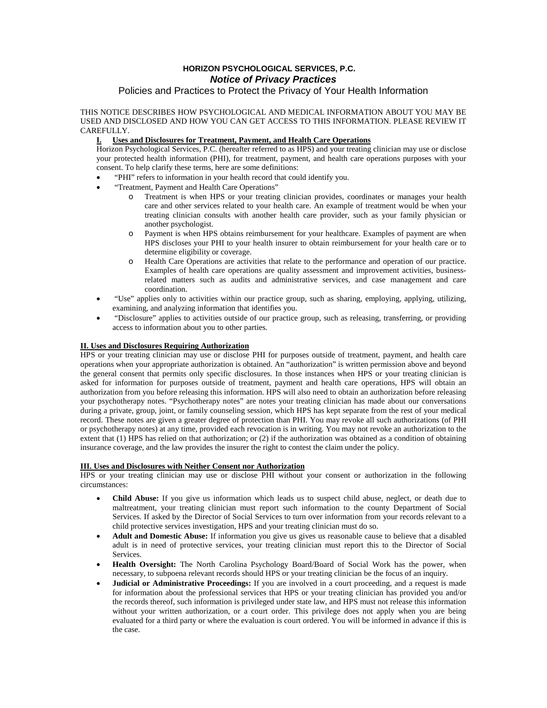# **HORIZON PSYCHOLOGICAL SERVICES, P.C. Notice of Privacy Practices**

## Policies and Practices to Protect the Privacy of Your Health Information

THIS NOTICE DESCRIBES HOW PSYCHOLOGICAL AND MEDICAL INFORMATION ABOUT YOU MAY BE USED AND DISCLOSED AND HOW YOU CAN GET ACCESS TO THIS INFORMATION. PLEASE REVIEW IT CAREFULLY.

### **I. Uses and Disclosures for Treatment, Payment, and Health Care Operations**

Horizon Psychological Services, P.C. (hereafter referred to as HPS) and your treating clinician may use or disclose your protected health information (PHI), for treatment, payment, and health care operations purposes with your consent. To help clarify these terms, here are some definitions:

- "PHI" refers to information in your health record that could identify you.
- "Treatment, Payment and Health Care Operations"
	- o Treatment is when HPS or your treating clinician provides, coordinates or manages your health care and other services related to your health care. An example of treatment would be when your treating clinician consults with another health care provider, such as your family physician or another psychologist.
	- o Payment is when HPS obtains reimbursement for your healthcare. Examples of payment are when HPS discloses your PHI to your health insurer to obtain reimbursement for your health care or to determine eligibility or coverage.
	- o Health Care Operations are activities that relate to the performance and operation of our practice. Examples of health care operations are quality assessment and improvement activities, businessrelated matters such as audits and administrative services, and case management and care coordination.
- "Use" applies only to activities within our practice group, such as sharing, employing, applying, utilizing, examining, and analyzing information that identifies you.
- "Disclosure" applies to activities outside of our practice group, such as releasing, transferring, or providing access to information about you to other parties.

## **II. Uses and Disclosures Requiring Authorization**

HPS or your treating clinician may use or disclose PHI for purposes outside of treatment, payment, and health care operations when your appropriate authorization is obtained. An "authorization" is written permission above and beyond the general consent that permits only specific disclosures. In those instances when HPS or your treating clinician is asked for information for purposes outside of treatment, payment and health care operations, HPS will obtain an authorization from you before releasing this information. HPS will also need to obtain an authorization before releasing your psychotherapy notes. "Psychotherapy notes" are notes your treating clinician has made about our conversations during a private, group, joint, or family counseling session, which HPS has kept separate from the rest of your medical record. These notes are given a greater degree of protection than PHI. You may revoke all such authorizations (of PHI or psychotherapy notes) at any time, provided each revocation is in writing. You may not revoke an authorization to the extent that (1) HPS has relied on that authorization; or (2) if the authorization was obtained as a condition of obtaining insurance coverage, and the law provides the insurer the right to contest the claim under the policy.

### **III. Uses and Disclosures with Neither Consent nor Authorization**

HPS or your treating clinician may use or disclose PHI without your consent or authorization in the following circumstances:

- **Child Abuse:** If you give us information which leads us to suspect child abuse, neglect, or death due to maltreatment, your treating clinician must report such information to the county Department of Social Services. If asked by the Director of Social Services to turn over information from your records relevant to a child protective services investigation, HPS and your treating clinician must do so.
- **Adult and Domestic Abuse:** If information you give us gives us reasonable cause to believe that a disabled adult is in need of protective services, your treating clinician must report this to the Director of Social Services.
- **Health Oversight:** The North Carolina Psychology Board/Board of Social Work has the power, when necessary, to subpoena relevant records should HPS or your treating clinician be the focus of an inquiry.
- **Judicial or Administrative Proceedings:** If you are involved in a court proceeding, and a request is made for information about the professional services that HPS or your treating clinician has provided you and/or the records thereof, such information is privileged under state law, and HPS must not release this information without your written authorization, or a court order. This privilege does not apply when you are being evaluated for a third party or where the evaluation is court ordered. You will be informed in advance if this is the case.